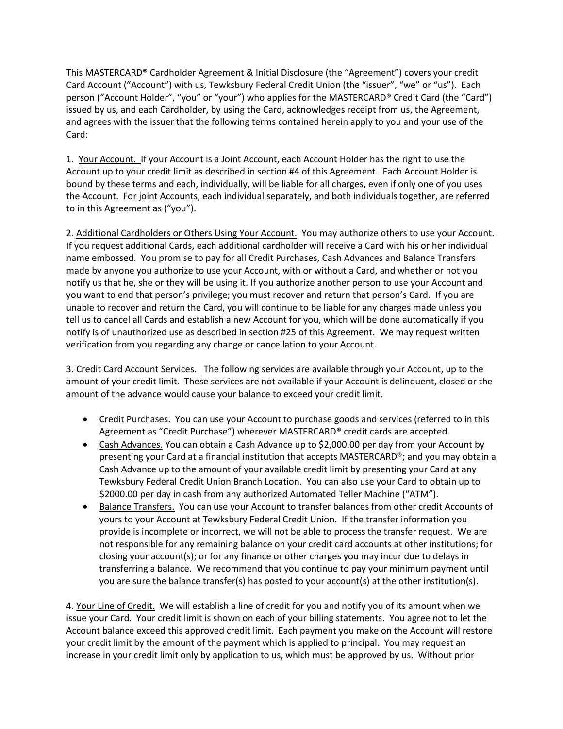This MASTERCARD® Cardholder Agreement & Initial Disclosure (the "Agreement") covers your credit Card Account ("Account") with us, Tewksbury Federal Credit Union (the "issuer", "we" or "us"). Each person ("Account Holder", "you" or "your") who applies for the MASTERCARD® Credit Card (the "Card") issued by us, and each Cardholder, by using the Card, acknowledges receipt from us, the Agreement, and agrees with the issuer that the following terms contained herein apply to you and your use of the Card:

1. Your Account. If your Account is a Joint Account, each Account Holder has the right to use the Account up to your credit limit as described in section #4 of this Agreement. Each Account Holder is bound by these terms and each, individually, will be liable for all charges, even if only one of you uses the Account. For joint Accounts, each individual separately, and both individuals together, are referred to in this Agreement as ("you").

2. Additional Cardholders or Others Using Your Account. You may authorize others to use your Account. If you request additional Cards, each additional cardholder will receive a Card with his or her individual name embossed. You promise to pay for all Credit Purchases, Cash Advances and Balance Transfers made by anyone you authorize to use your Account, with or without a Card, and whether or not you notify us that he, she or they will be using it. If you authorize another person to use your Account and you want to end that person's privilege; you must recover and return that person's Card. If you are unable to recover and return the Card, you will continue to be liable for any charges made unless you tell us to cancel all Cards and establish a new Account for you, which will be done automatically if you notify is of unauthorized use as described in section #25 of this Agreement. We may request written verification from you regarding any change or cancellation to your Account.

3. Credit Card Account Services. The following services are available through your Account, up to the amount of your credit limit. These services are not available if your Account is delinquent, closed or the amount of the advance would cause your balance to exceed your credit limit.

- Credit Purchases. You can use your Account to purchase goods and services (referred to in this Agreement as "Credit Purchase") wherever MASTERCARD® credit cards are accepted.
- Cash Advances. You can obtain a Cash Advance up to \$2,000.00 per day from your Account by presenting your Card at a financial institution that accepts MASTERCARD®; and you may obtain a Cash Advance up to the amount of your available credit limit by presenting your Card at any Tewksbury Federal Credit Union Branch Location. You can also use your Card to obtain up to \$2000.00 per day in cash from any authorized Automated Teller Machine ("ATM").
- Balance Transfers. You can use your Account to transfer balances from other credit Accounts of yours to your Account at Tewksbury Federal Credit Union. If the transfer information you provide is incomplete or incorrect, we will not be able to process the transfer request. We are not responsible for any remaining balance on your credit card accounts at other institutions; for closing your account(s); or for any finance or other charges you may incur due to delays in transferring a balance. We recommend that you continue to pay your minimum payment until you are sure the balance transfer(s) has posted to your account(s) at the other institution(s).

4. Your Line of Credit. We will establish a line of credit for you and notify you of its amount when we issue your Card. Your credit limit is shown on each of your billing statements. You agree not to let the Account balance exceed this approved credit limit. Each payment you make on the Account will restore your credit limit by the amount of the payment which is applied to principal. You may request an increase in your credit limit only by application to us, which must be approved by us. Without prior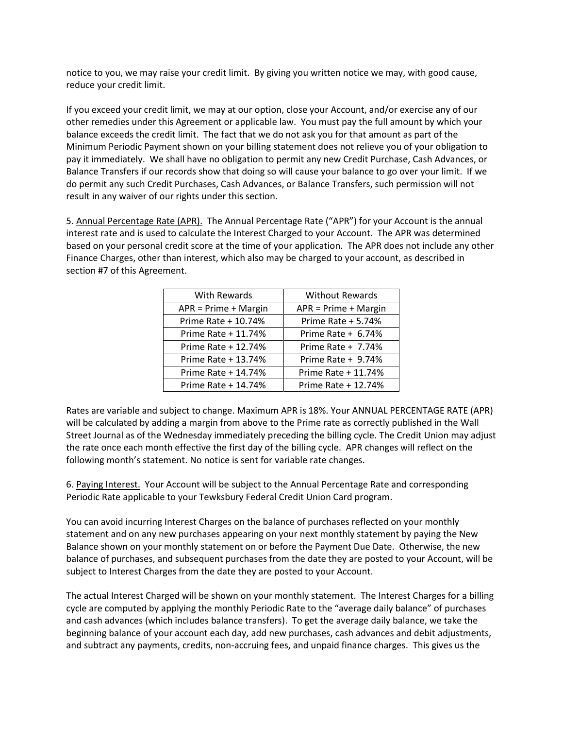notice to you, we may raise your credit limit. By giving you written notice we may, with good cause, reduce your credit limit.

If you exceed your credit limit, we may at our option, close your Account, and/or exercise any of our other remedies under this Agreement or applicable law. You must pay the full amount by which your balance exceeds the credit limit. The fact that we do not ask you for that amount as part of the Minimum Periodic Payment shown on your billing statement does not relieve you of your obligation to pay it immediately. We shall have no obligation to permit any new Credit Purchase, Cash Advances, or Balance Transfers if our records show that doing so will cause your balance to go over your limit. If we do permit any such Credit Purchases, Cash Advances, or Balance Transfers, such permission will not result in any waiver of our rights under this section.

5. Annual Percentage Rate (APR). The Annual Percentage Rate ("APR") for your Account is the annual interest rate and is used to calculate the Interest Charged to your Account. The APR was determined based on your personal credit score at the time of your application. The APR does not include any other Finance Charges, other than interest, which also may be charged to your account, as described in section #7 of this Agreement.

| With Rewards           | <b>Without Rewards</b> |
|------------------------|------------------------|
| $APR = Prime + Margin$ | $APR = Prime + Margin$ |
| Prime Rate + 10.74%    | Prime Rate + 5.74%     |
| Prime Rate + 11.74%    | Prime Rate + $6.74%$   |
| Prime Rate + 12.74%    | Prime Rate $+ 7.74%$   |
| Prime Rate + 13.74%    | Prime Rate + 9.74%     |
| Prime Rate + 14.74%    | Prime Rate + 11.74%    |
| Prime Rate + 14.74%    | Prime Rate + 12.74%    |

Rates are variable and subject to change. Maximum APR is 18%. Your ANNUAL PERCENTAGE RATE (APR) will be calculated by adding a margin from above to the Prime rate as correctly published in the Wall Street Journal as of the Wednesday immediately preceding the billing cycle. The Credit Union may adjust the rate once each month effective the first day of the billing cycle. APR changes will reflect on the following month's statement. No notice is sent for variable rate changes.

6. Paying Interest. Your Account will be subject to the Annual Percentage Rate and corresponding Periodic Rate applicable to your Tewksbury Federal Credit Union Card program.

You can avoid incurring Interest Charges on the balance of purchases reflected on your monthly statement and on any new purchases appearing on your next monthly statement by paying the New Balance shown on your monthly statement on or before the Payment Due Date. Otherwise, the new balance of purchases, and subsequent purchases from the date they are posted to your Account, will be subject to Interest Charges from the date they are posted to your Account.

The actual Interest Charged will be shown on your monthly statement. The Interest Charges for a billing cycle are computed by applying the monthly Periodic Rate to the "average daily balance" of purchases and cash advances (which includes balance transfers). To get the average daily balance, we take the beginning balance of your account each day, add new purchases, cash advances and debit adjustments, and subtract any payments, credits, non-accruing fees, and unpaid finance charges. This gives us the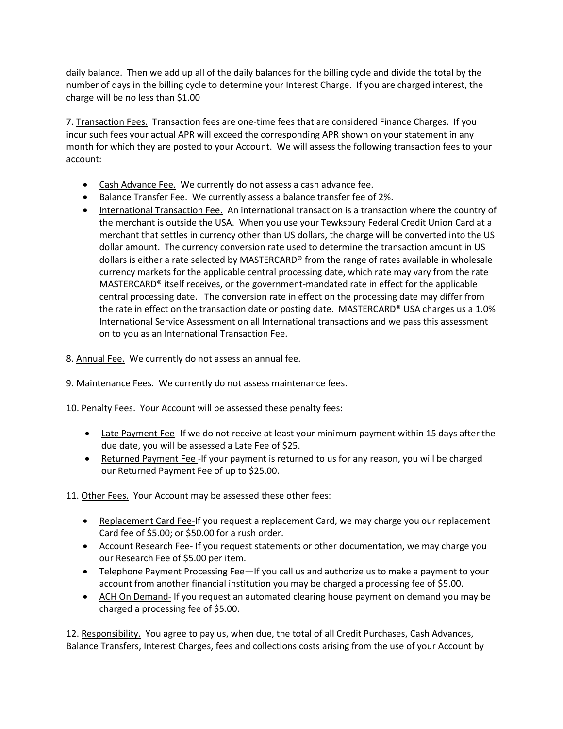daily balance. Then we add up all of the daily balances for the billing cycle and divide the total by the number of days in the billing cycle to determine your Interest Charge. If you are charged interest, the charge will be no less than \$1.00

7. Transaction Fees. Transaction fees are one-time fees that are considered Finance Charges. If you incur such fees your actual APR will exceed the corresponding APR shown on your statement in any month for which they are posted to your Account. We will assess the following transaction fees to your account:

- Cash Advance Fee. We currently do not assess a cash advance fee.
- Balance Transfer Fee. We currently assess a balance transfer fee of 2%.
- International Transaction Fee. An international transaction is a transaction where the country of the merchant is outside the USA. When you use your Tewksbury Federal Credit Union Card at a merchant that settles in currency other than US dollars, the charge will be converted into the US dollar amount. The currency conversion rate used to determine the transaction amount in US dollars is either a rate selected by MASTERCARD® from the range of rates available in wholesale currency markets for the applicable central processing date, which rate may vary from the rate MASTERCARD® itself receives, or the government-mandated rate in effect for the applicable central processing date. The conversion rate in effect on the processing date may differ from the rate in effect on the transaction date or posting date. MASTERCARD® USA charges us a 1.0% International Service Assessment on all International transactions and we pass this assessment on to you as an International Transaction Fee.
- 8. Annual Fee. We currently do not assess an annual fee.
- 9. Maintenance Fees. We currently do not assess maintenance fees.
- 10. Penalty Fees. Your Account will be assessed these penalty fees:
	- Late Payment Fee- If we do not receive at least your minimum payment within 15 days after the due date, you will be assessed a Late Fee of \$25.
	- Returned Payment Fee -If your payment is returned to us for any reason, you will be charged our Returned Payment Fee of up to \$25.00.

11. Other Fees. Your Account may be assessed these other fees:

- Replacement Card Fee-If you request a replacement Card, we may charge you our replacement Card fee of \$5.00; or \$50.00 for a rush order.
- Account Research Fee- If you request statements or other documentation, we may charge you our Research Fee of \$5.00 per item.
- Telephone Payment Processing Fee—If you call us and authorize us to make a payment to your account from another financial institution you may be charged a processing fee of \$5.00.
- ACH On Demand- If you request an automated clearing house payment on demand you may be charged a processing fee of \$5.00.

12. Responsibility. You agree to pay us, when due, the total of all Credit Purchases, Cash Advances, Balance Transfers, Interest Charges, fees and collections costs arising from the use of your Account by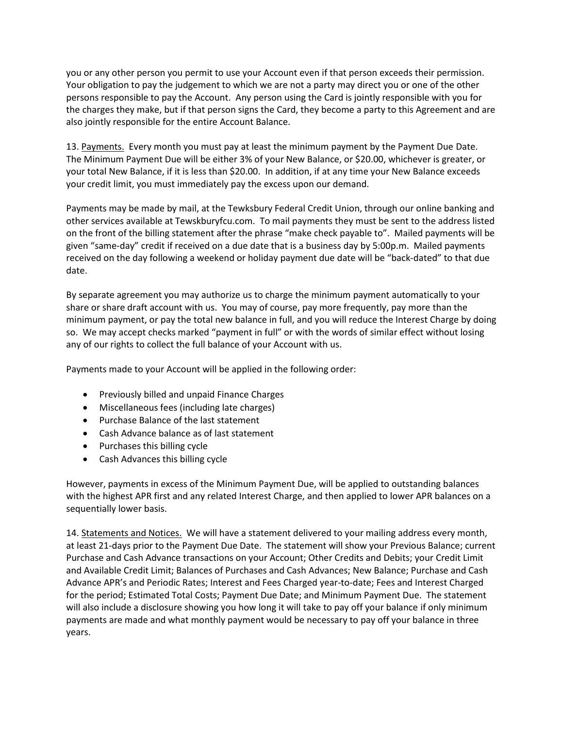you or any other person you permit to use your Account even if that person exceeds their permission. Your obligation to pay the judgement to which we are not a party may direct you or one of the other persons responsible to pay the Account. Any person using the Card is jointly responsible with you for the charges they make, but if that person signs the Card, they become a party to this Agreement and are also jointly responsible for the entire Account Balance.

13. Payments. Every month you must pay at least the minimum payment by the Payment Due Date. The Minimum Payment Due will be either 3% of your New Balance, or \$20.00, whichever is greater, or your total New Balance, if it is less than \$20.00. In addition, if at any time your New Balance exceeds your credit limit, you must immediately pay the excess upon our demand.

Payments may be made by mail, at the Tewksbury Federal Credit Union, through our online banking and other services available at Tewskburyfcu.com. To mail payments they must be sent to the address listed on the front of the billing statement after the phrase "make check payable to". Mailed payments will be given "same-day" credit if received on a due date that is a business day by 5:00p.m. Mailed payments received on the day following a weekend or holiday payment due date will be "back-dated" to that due date.

By separate agreement you may authorize us to charge the minimum payment automatically to your share or share draft account with us. You may of course, pay more frequently, pay more than the minimum payment, or pay the total new balance in full, and you will reduce the Interest Charge by doing so. We may accept checks marked "payment in full" or with the words of similar effect without losing any of our rights to collect the full balance of your Account with us.

Payments made to your Account will be applied in the following order:

- Previously billed and unpaid Finance Charges
- Miscellaneous fees (including late charges)
- Purchase Balance of the last statement
- Cash Advance balance as of last statement
- Purchases this billing cycle
- Cash Advances this billing cycle

However, payments in excess of the Minimum Payment Due, will be applied to outstanding balances with the highest APR first and any related Interest Charge, and then applied to lower APR balances on a sequentially lower basis.

14. Statements and Notices. We will have a statement delivered to your mailing address every month, at least 21-days prior to the Payment Due Date. The statement will show your Previous Balance; current Purchase and Cash Advance transactions on your Account; Other Credits and Debits; your Credit Limit and Available Credit Limit; Balances of Purchases and Cash Advances; New Balance; Purchase and Cash Advance APR's and Periodic Rates; Interest and Fees Charged year-to-date; Fees and Interest Charged for the period; Estimated Total Costs; Payment Due Date; and Minimum Payment Due. The statement will also include a disclosure showing you how long it will take to pay off your balance if only minimum payments are made and what monthly payment would be necessary to pay off your balance in three years.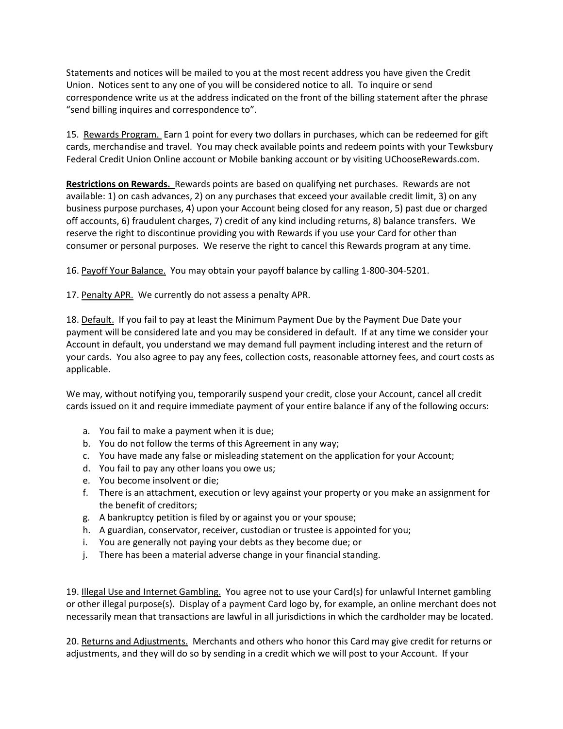Statements and notices will be mailed to you at the most recent address you have given the Credit Union. Notices sent to any one of you will be considered notice to all. To inquire or send correspondence write us at the address indicated on the front of the billing statement after the phrase "send billing inquires and correspondence to".

15. Rewards Program. Earn 1 point for every two dollars in purchases, which can be redeemed for gift cards, merchandise and travel. You may check available points and redeem points with your Tewksbury Federal Credit Union Online account or Mobile banking account or by visiting UChooseRewards.com.

**Restrictions on Rewards.** Rewards points are based on qualifying net purchases. Rewards are not available: 1) on cash advances, 2) on any purchases that exceed your available credit limit, 3) on any business purpose purchases, 4) upon your Account being closed for any reason, 5) past due or charged off accounts, 6) fraudulent charges, 7) credit of any kind including returns, 8) balance transfers. We reserve the right to discontinue providing you with Rewards if you use your Card for other than consumer or personal purposes. We reserve the right to cancel this Rewards program at any time.

16. Payoff Your Balance. You may obtain your payoff balance by calling 1-800-304-5201.

17. Penalty APR. We currently do not assess a penalty APR.

18. Default. If you fail to pay at least the Minimum Payment Due by the Payment Due Date your payment will be considered late and you may be considered in default. If at any time we consider your Account in default, you understand we may demand full payment including interest and the return of your cards. You also agree to pay any fees, collection costs, reasonable attorney fees, and court costs as applicable.

We may, without notifying you, temporarily suspend your credit, close your Account, cancel all credit cards issued on it and require immediate payment of your entire balance if any of the following occurs:

- a. You fail to make a payment when it is due;
- b. You do not follow the terms of this Agreement in any way;
- c. You have made any false or misleading statement on the application for your Account;
- d. You fail to pay any other loans you owe us;
- e. You become insolvent or die;
- f. There is an attachment, execution or levy against your property or you make an assignment for the benefit of creditors;
- g. A bankruptcy petition is filed by or against you or your spouse;
- h. A guardian, conservator, receiver, custodian or trustee is appointed for you;
- i. You are generally not paying your debts as they become due; or
- j. There has been a material adverse change in your financial standing.

19. Illegal Use and Internet Gambling. You agree not to use your Card(s) for unlawful Internet gambling or other illegal purpose(s). Display of a payment Card logo by, for example, an online merchant does not necessarily mean that transactions are lawful in all jurisdictions in which the cardholder may be located.

20. Returns and Adjustments. Merchants and others who honor this Card may give credit for returns or adjustments, and they will do so by sending in a credit which we will post to your Account. If your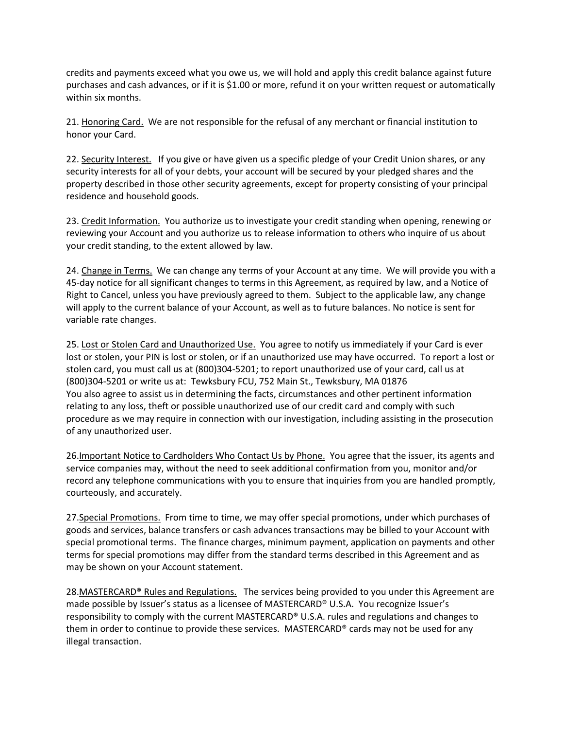credits and payments exceed what you owe us, we will hold and apply this credit balance against future purchases and cash advances, or if it is \$1.00 or more, refund it on your written request or automatically within six months.

21. Honoring Card. We are not responsible for the refusal of any merchant or financial institution to honor your Card.

22. Security Interest. If you give or have given us a specific pledge of your Credit Union shares, or any security interests for all of your debts, your account will be secured by your pledged shares and the property described in those other security agreements, except for property consisting of your principal residence and household goods.

23. Credit Information. You authorize us to investigate your credit standing when opening, renewing or reviewing your Account and you authorize us to release information to others who inquire of us about your credit standing, to the extent allowed by law.

24. Change in Terms. We can change any terms of your Account at any time. We will provide you with a 45-day notice for all significant changes to terms in this Agreement, as required by law, and a Notice of Right to Cancel, unless you have previously agreed to them. Subject to the applicable law, any change will apply to the current balance of your Account, as well as to future balances. No notice is sent for variable rate changes.

25. Lost or Stolen Card and Unauthorized Use. You agree to notify us immediately if your Card is ever lost or stolen, your PIN is lost or stolen, or if an unauthorized use may have occurred. To report a lost or stolen card, you must call us at (800)304-5201; to report unauthorized use of your card, call us at (800)304-5201 or write us at: Tewksbury FCU, 752 Main St., Tewksbury, MA 01876 You also agree to assist us in determining the facts, circumstances and other pertinent information relating to any loss, theft or possible unauthorized use of our credit card and comply with such procedure as we may require in connection with our investigation, including assisting in the prosecution of any unauthorized user.

26.Important Notice to Cardholders Who Contact Us by Phone. You agree that the issuer, its agents and service companies may, without the need to seek additional confirmation from you, monitor and/or record any telephone communications with you to ensure that inquiries from you are handled promptly, courteously, and accurately.

27.Special Promotions. From time to time, we may offer special promotions, under which purchases of goods and services, balance transfers or cash advances transactions may be billed to your Account with special promotional terms. The finance charges, minimum payment, application on payments and other terms for special promotions may differ from the standard terms described in this Agreement and as may be shown on your Account statement.

28.MASTERCARD® Rules and Regulations. The services being provided to you under this Agreement are made possible by Issuer's status as a licensee of MASTERCARD® U.S.A. You recognize Issuer's responsibility to comply with the current MASTERCARD® U.S.A. rules and regulations and changes to them in order to continue to provide these services. MASTERCARD® cards may not be used for any illegal transaction.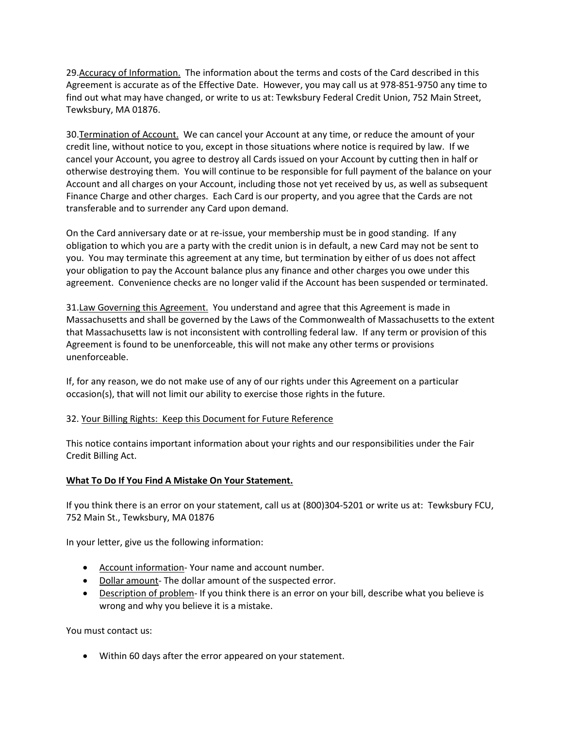29.Accuracy of Information. The information about the terms and costs of the Card described in this Agreement is accurate as of the Effective Date. However, you may call us at 978-851-9750 any time to find out what may have changed, or write to us at: Tewksbury Federal Credit Union, 752 Main Street, Tewksbury, MA 01876.

30.Termination of Account. We can cancel your Account at any time, or reduce the amount of your credit line, without notice to you, except in those situations where notice is required by law. If we cancel your Account, you agree to destroy all Cards issued on your Account by cutting then in half or otherwise destroying them. You will continue to be responsible for full payment of the balance on your Account and all charges on your Account, including those not yet received by us, as well as subsequent Finance Charge and other charges. Each Card is our property, and you agree that the Cards are not transferable and to surrender any Card upon demand.

On the Card anniversary date or at re-issue, your membership must be in good standing. If any obligation to which you are a party with the credit union is in default, a new Card may not be sent to you. You may terminate this agreement at any time, but termination by either of us does not affect your obligation to pay the Account balance plus any finance and other charges you owe under this agreement. Convenience checks are no longer valid if the Account has been suspended or terminated.

31.Law Governing this Agreement. You understand and agree that this Agreement is made in Massachusetts and shall be governed by the Laws of the Commonwealth of Massachusetts to the extent that Massachusetts law is not inconsistent with controlling federal law. If any term or provision of this Agreement is found to be unenforceable, this will not make any other terms or provisions unenforceable.

If, for any reason, we do not make use of any of our rights under this Agreement on a particular occasion(s), that will not limit our ability to exercise those rights in the future.

## 32. Your Billing Rights: Keep this Document for Future Reference

This notice contains important information about your rights and our responsibilities under the Fair Credit Billing Act.

## **What To Do If You Find A Mistake On Your Statement.**

If you think there is an error on your statement, call us at (800)304-5201 or write us at: Tewksbury FCU, 752 Main St., Tewksbury, MA 01876

In your letter, give us the following information:

- Account information- Your name and account number.
- Dollar amount- The dollar amount of the suspected error.
- Description of problem- If you think there is an error on your bill, describe what you believe is wrong and why you believe it is a mistake.

You must contact us:

• Within 60 days after the error appeared on your statement.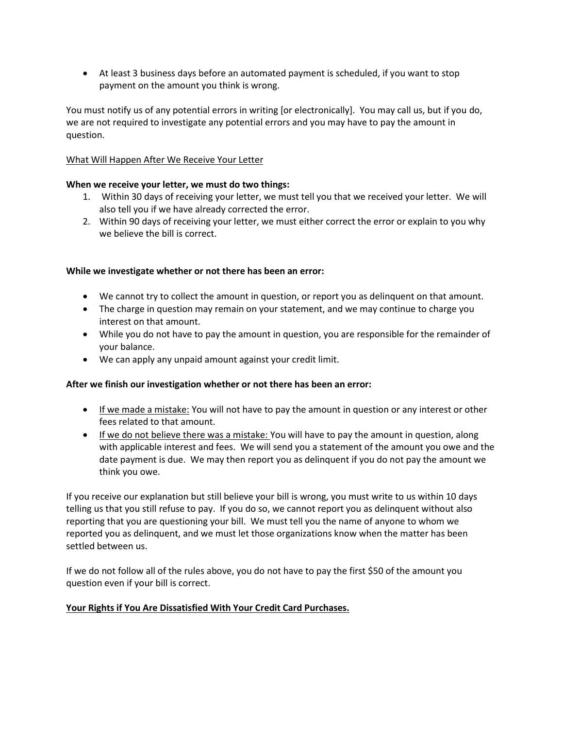• At least 3 business days before an automated payment is scheduled, if you want to stop payment on the amount you think is wrong.

You must notify us of any potential errors in writing [or electronically]. You may call us, but if you do, we are not required to investigate any potential errors and you may have to pay the amount in question.

## What Will Happen After We Receive Your Letter

# **When we receive your letter, we must do two things:**

- 1. Within 30 days of receiving your letter, we must tell you that we received your letter. We will also tell you if we have already corrected the error.
- 2. Within 90 days of receiving your letter, we must either correct the error or explain to you why we believe the bill is correct.

# **While we investigate whether or not there has been an error:**

- We cannot try to collect the amount in question, or report you as delinquent on that amount.
- The charge in question may remain on your statement, and we may continue to charge you interest on that amount.
- While you do not have to pay the amount in question, you are responsible for the remainder of your balance.
- We can apply any unpaid amount against your credit limit.

## **After we finish our investigation whether or not there has been an error:**

- If we made a mistake: You will not have to pay the amount in question or any interest or other fees related to that amount.
- If we do not believe there was a mistake: You will have to pay the amount in question, along with applicable interest and fees. We will send you a statement of the amount you owe and the date payment is due. We may then report you as delinquent if you do not pay the amount we think you owe.

If you receive our explanation but still believe your bill is wrong, you must write to us within 10 days telling us that you still refuse to pay. If you do so, we cannot report you as delinquent without also reporting that you are questioning your bill. We must tell you the name of anyone to whom we reported you as delinquent, and we must let those organizations know when the matter has been settled between us.

If we do not follow all of the rules above, you do not have to pay the first \$50 of the amount you question even if your bill is correct.

## **Your Rights if You Are Dissatisfied With Your Credit Card Purchases.**